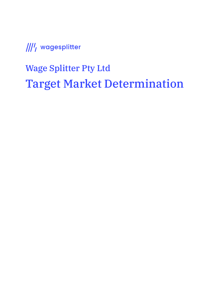Wage Splitter Pty Ltd Target Market Determination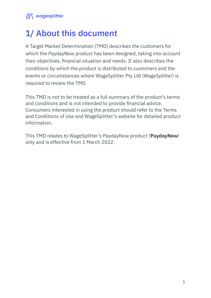## 1/ About this document

A Target Market Determination (TMD) describes the customers for which the PaydayNow product has been designed, taking into account their objectives, financial situation and needs. It also describes the conditions by which the product is distributed to customers and the events or circumstances where WageSplitter Pty Ltd (WageSplitter) is required to review the TMD.

This TMD is not to be treated as a full summary of the product's terms and conditions and is not intended to provide financial advice. Consumers interested in using the product should refer to the Terms and Conditions of Use and WageSplitter's website for detailed product information.

This TMD relates to WageSplitter's PaydayNow product (**PaydayNow**) only and is effective from 1 March 2022.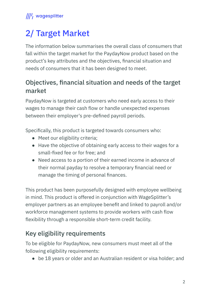# 2/ Target Market

The information below summarises the overall class of consumers that fall within the target market for the PaydayNow product based on the product's key attributes and the objectives, financial situation and needs of consumers that it has been designed to meet.

#### Objectives, financial situation and needs of the target market

PaydayNow is targeted at customers who need early access to their wages to manage their cash flow or handle unexpected expenses between their employer's pre-defined payroll periods.

Specifically, this product is targeted towards consumers who:

- Meet our eligibility criteria;
- Have the objective of obtaining early access to their wages for a small-fixed fee or for free; and
- Need access to a portion of their earned income in advance of their normal payday to resolve a temporary financial need or manage the timing of personal finances.

This product has been purposefully designed with employee wellbeing in mind. This product is offered in conjunction with WageSplitter's employer partners as an employee benefit and linked to payroll and/or workforce management systems to provide workers with cash flow flexibility through a responsible short-term credit facility.

## Key eligibility requirements

To be eligible for PaydayNow, new consumers must meet all of the following eligibility requirements:

● be 18 years or older and an Australian resident or visa holder; and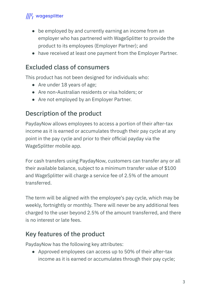- be employed by and currently earning an income from an employer who has partnered with WageSplitter to provide the product to its employees (Employer Partner); and
- have received at least one payment from the Employer Partner.

#### Excluded class of consumers

This product has not been designed for individuals who:

- Are under 18 years of age;
- Are non-Australian residents or visa holders; or
- Are not employed by an Employer Partner.

## Description of the product

PaydayNow allows employees to access a portion of their after-tax income as it is earned or accumulates through their pay cycle at any point in the pay cycle and prior to their official payday via the WageSplitter mobile app.

For cash transfers using PaydayNow, customers can transfer any or all their available balance, subject to a minimum transfer value of \$100 and WageSplitter will charge a service fee of 2.5% of the amount transferred.

The term will be aligned with the employee's pay cycle, which may be weekly, fortnightly or monthly. There will never be any additional fees charged to the user beyond 2.5% of the amount transferred, and there is no interest or late fees.

#### Key features of the product

PaydayNow has the following key attributes:

● Approved employees can access up to 50% of their after-tax income as it is earned or accumulates through their pay cycle;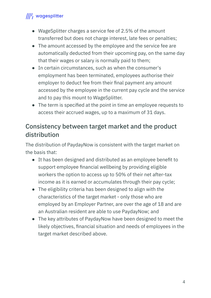- WageSplitter charges a service fee of 2.5% of the amount transferred but does not charge interest, late fees or penalties;
- The amount accessed by the employee and the service fee are automatically deducted from their upcoming pay, on the same day that their wages or salary is normally paid to them;
- In certain circumstances, such as when the consumer's employment has been terminated, employees authorise their employer to deduct fee from their final payment any amount accessed by the employee in the current pay cycle and the service and to pay this mount to WageSplitter.
- The term is specified at the point in time an employee requests to access their accrued wages, up to a maximum of 31 days.

#### Consistency between target market and the product distribution

The distribution of PaydayNow is consistent with the target market on the basis that:

- It has been designed and distributed as an employee benefit to support employee financial wellbeing by providing eligible workers the option to access up to 50% of their net after-tax income as it is earned or accumulates through their pay cycle;
- The eligibility criteria has been designed to align with the characteristics of the target market - only those who are employed by an Employer Partner, are over the age of 18 and are an Australian resident are able to use PaydayNow; and
- The key attributes of PaydayNow have been designed to meet the likely objectives, financial situation and needs of employees in the target market described above.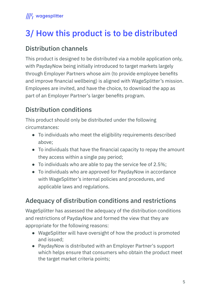# 3/ How this product is to be distributed

#### Distribution channels

This product is designed to be distributed via a mobile application only, with PaydayNow being initially introduced to target markets largely through Employer Partners whose aim (to provide employee benefits and improve financial wellbeing) is aligned with WageSplitter's mission. Employees are invited, and have the choice, to download the app as part of an Employer Partner's larger benefits program.

## Distribution conditions

This product should only be distributed under the following circumstances:

- To individuals who meet the eligibility requirements described above;
- To individuals that have the financial capacity to repay the amount they access within a single pay period;
- To individuals who are able to pay the service fee of 2.5%;
- To individuals who are approved for PaydayNow in accordance with WageSplitter's internal policies and procedures, and applicable laws and regulations.

## Adequacy of distribution conditions and restrictions

WageSplitter has assessed the adequacy of the distribution conditions and restrictions of PaydayNow and formed the view that they are appropriate for the following reasons:

- WageSplitter will have oversight of how the product is promoted and issued;
- PaydayNow is distributed with an Employer Partner's support which helps ensure that consumers who obtain the product meet the target market criteria points;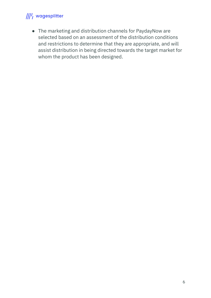● The marketing and distribution channels for PaydayNow are selected based on an assessment of the distribution conditions and restrictions to determine that they are appropriate, and will assist distribution in being directed towards the target market for whom the product has been designed.